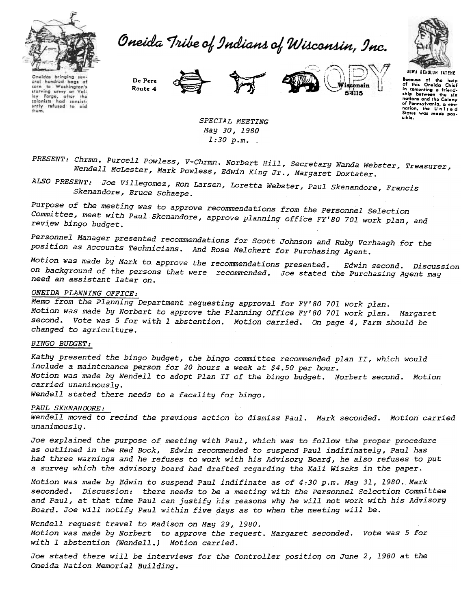

Oneida Tribe of Indians of Wisconsin, Inc.



Oncidas bringing oral hundred bags of to Washington's corn starving army at lay Farge, after the<br>colonists had consist-<br>ently refused to old them.

Route De Pere









SPECIAL MEETING May 30~ 1980  $1:30 p.m.$ 

PRESENT: Chrmn. Purcell Powless, V-Chrmn. Norbert Hill, Secretary Wanda Webster, Treasurer, Wendell MCLester, Mark Powless, Edwin King Jr., Margaret Doxtater.

ALSO PRESENT, Joe Villegomez, Ron Larsen, Loretta Webster, Paul Skenandore, Fran  $Sk$ enandore, Bruce  $S_k$ 

 $p_{\text{summax}} = c_{\text{min}}$ 

Committee, meet with Paul Skenandore, approve planning office Fy'80 701 work plan, Committee, meet with Paul Skenandore, approve planning office FY'80 701 work plan, and Personnel Manager presented recommendations for Scott Johnson and Ruby Verhaagh f

Personnel Manager presented recommendations for Soott Johnson Age position as Accounts Technicians. And Rose Melchert for Purchasing Agent.

Motion was made by Mark to engage  $\mu$ ,  $\mu$  states  $\mu$ *Edwin second.* Discussion  $\Omega^n$  basks and  $\Omega$  of  $\Omega$ . need an assistant later on.

## ONEIDA PLANNING OFFICE:

Memo from the Planning Department requesting approval for FY'BO 701 work plan. Motion was made by Norbert to approve the Planning Office FY'BO 701 work plan. Margaret second. Vote was 5 for with 1 abstention. Motion carried. On page 4, Farm should be changed to agriculture.

#### BINGO BUDGET:

Kathy presented the bingo budget, the bingo committee recommended plan II, which would include a maintenance person for 20 hours a week at \$4.50 per hour. Motion was made by Wendell to adopt Plan II of the bingo budget. Norbert second. Motion carried unanimously. Wendell stated there needs to a facality for bingo.

#### PAUL SKENANDORE:

Wendell moved to recind the previous action to dismiss Paul. Mark seconded. Motion carried unanimously.

Joe explained the purpose of meeting with Paul, which was to follow the proper procedure as outlined in the Red Book, Edwin recommended to suspend Paul indifinately, Paul has had three warnings and he refuses to work with his Advisory Boarq, he also refuses to put a survey which the advisory board had drafted regarding the Kali Wisaks in the paper.

Motion was made by Edwin to suspend Paul indifinate as of 4:30 p.m. May 31,1980. Mark seconded. Discussion: there needs to be a meeting with the Personnel Selection Committee and Paul, at that time Paul can justify his reasons why he will not work with his Advisory Board. Joe will notify Paul within five days as to when the meeting will be.

Wendell request travel to Madison on May 29,1980. Motion was made by Norbert to approve the request. Margaret seconded. Vote was 5 for with 1 abstention (Wendell.) Motion carried.

Joe stated there will be interviews for the Controller position on June 2, 1980 at the oneida Nation Memorial Building.